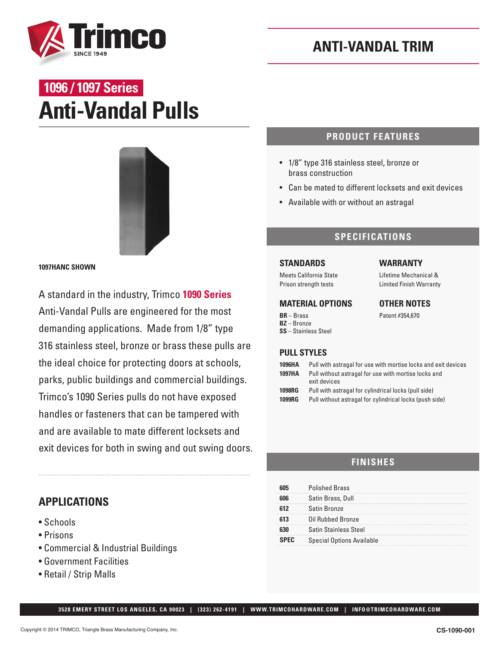

# **Anti-Vandal Pulls 1096 / 1097 Series**



**1097HANC SHOWN**

A standard in the industry, Trimco **1090 Series** Anti-Vandal Pulls are engineered for the most demanding applications. Made from 1/8" type 316 stainless steel, bronze or brass these pulls are the ideal choice for protecting doors at schools, parks, public buildings and commercial buildings. Trimco's 1090 Series pulls do not have exposed handles or fasteners that can be tampered with and are available to mate different locksets and exit devices for both in swing and out swing doors.

## **APPLICATIONS**

- Schools
- Prisons
- Commercial & Industrial Buildings
- Government Facilities
- Retail / Strip Malls

## **PRODUCT FEATURES**

- 1/8" type 316 stainless steel, bronze or brass construction
- Can be mated to different locksets and exit devices
- Available with or without an astragal

## **SPECIFICATIONS**

#### **STANDARDS**

Meets California State Prison strength tests

#### **MATERIAL OPTIONS**

**BR** – Brass **BZ** – Bronze **SS** – Stainless Steel

#### **WARRANTY**

Lifetime Mechanical & Limited Finish Warranty

#### **OTHER NOTES**

Patent #354,670

#### **PULL STYLES**

| 1096HA<br>1097HA | Pull with astragal for use with mortise locks and exit devices<br>Pull without astragal for use with mortise locks and<br>exit devices |
|------------------|----------------------------------------------------------------------------------------------------------------------------------------|
| <b>1098RG</b>    | Pull with astragal for cylindrical locks (pull side)                                                                                   |
| 1099RG           | Pull without astragal for cylindrical locks (push side)                                                                                |

## **FINISHES**

| <b>Polished Brass</b>            |
|----------------------------------|
| Satin Brass, Dull                |
| Satin Bronze                     |
| Oil Rubbed Bronze                |
| Satin Stainless Steel            |
| <b>Special Options Available</b> |

 **3528 EMERY STREET LOS ANGELES, CA 90023 | (323) 262-4191 | WWW.TRIMCOHARDWARE.COM | INFO@TRIMCOHARDWARE.COM**